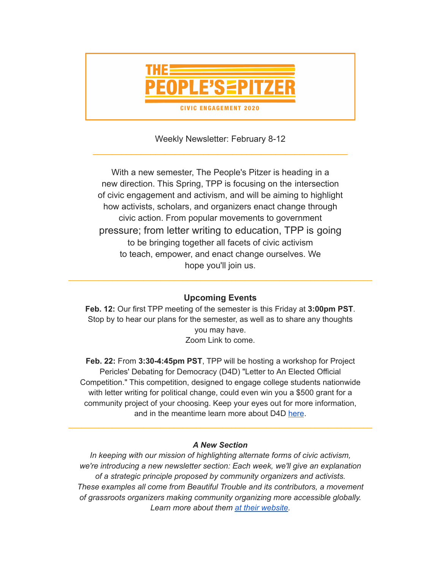

Weekly Newsletter: February 8-12 \_\_\_\_\_\_\_\_\_\_\_\_\_\_\_\_\_\_\_\_\_\_\_\_\_\_\_\_\_\_\_\_\_\_\_\_\_\_\_\_\_\_\_\_\_\_\_\_\_\_\_\_\_

With a new semester, The People's Pitzer is heading in a new direction. This Spring, TPP is focusing on the intersection of civic engagement and activism, and will be aiming to highlight how activists, scholars, and organizers enact change through civic action. From popular movements to government pressure; from letter writing to education, TPP is going to be bringing together all facets of civic activism to teach, empower, and enact change ourselves. We hope you'll join us.

# **Upcoming Events**

\_\_\_\_\_\_\_\_\_\_\_\_\_\_\_\_\_\_\_\_\_\_\_\_\_\_\_\_\_\_\_\_\_\_\_\_\_\_\_\_\_\_\_\_\_\_\_\_\_\_\_\_\_\_\_\_\_\_\_\_\_\_\_\_\_\_\_\_\_

**Feb. 12:** Our first TPP meeting of the semester is this Friday at **3:00pm PST**. Stop by to hear our plans for the semester, as well as to share any thoughts you may have. Zoom Link to come.

**Feb. 22:** From **3:30-4:45pm PST**, TPP will be hosting a workshop for Project Pericles' Debating for Democracy (D4D) "Letter to An Elected Official Competition." This competition, designed to engage college students nationwide with letter writing for political change, could even win you a \$500 grant for a community project of your choosing. Keep your eyes out for more information, and in the meantime learn more about D4D [here](https://www.projectpericles.org/debating-for-democracy-d4d.html).

### *A New Section*

\_\_\_\_\_\_\_\_\_\_\_\_\_\_\_\_\_\_\_\_\_\_\_\_\_\_\_\_\_\_\_\_\_\_\_\_\_\_\_\_\_\_\_\_\_\_\_\_\_\_\_\_\_\_\_\_\_\_\_\_\_\_\_\_\_\_\_\_\_

*In keeping with our mission of highlighting alternate forms of civic activism, we're introducing a new newsletter section: Each week, we'll give an explanation of a strategic principle proposed by community organizers and activists. These examples all come from Beautiful Trouble and its contributors, a movement of grassroots organizers making community organizing more accessible globally. Learn more about them at their [website](https://beautifultrouble.org/).*